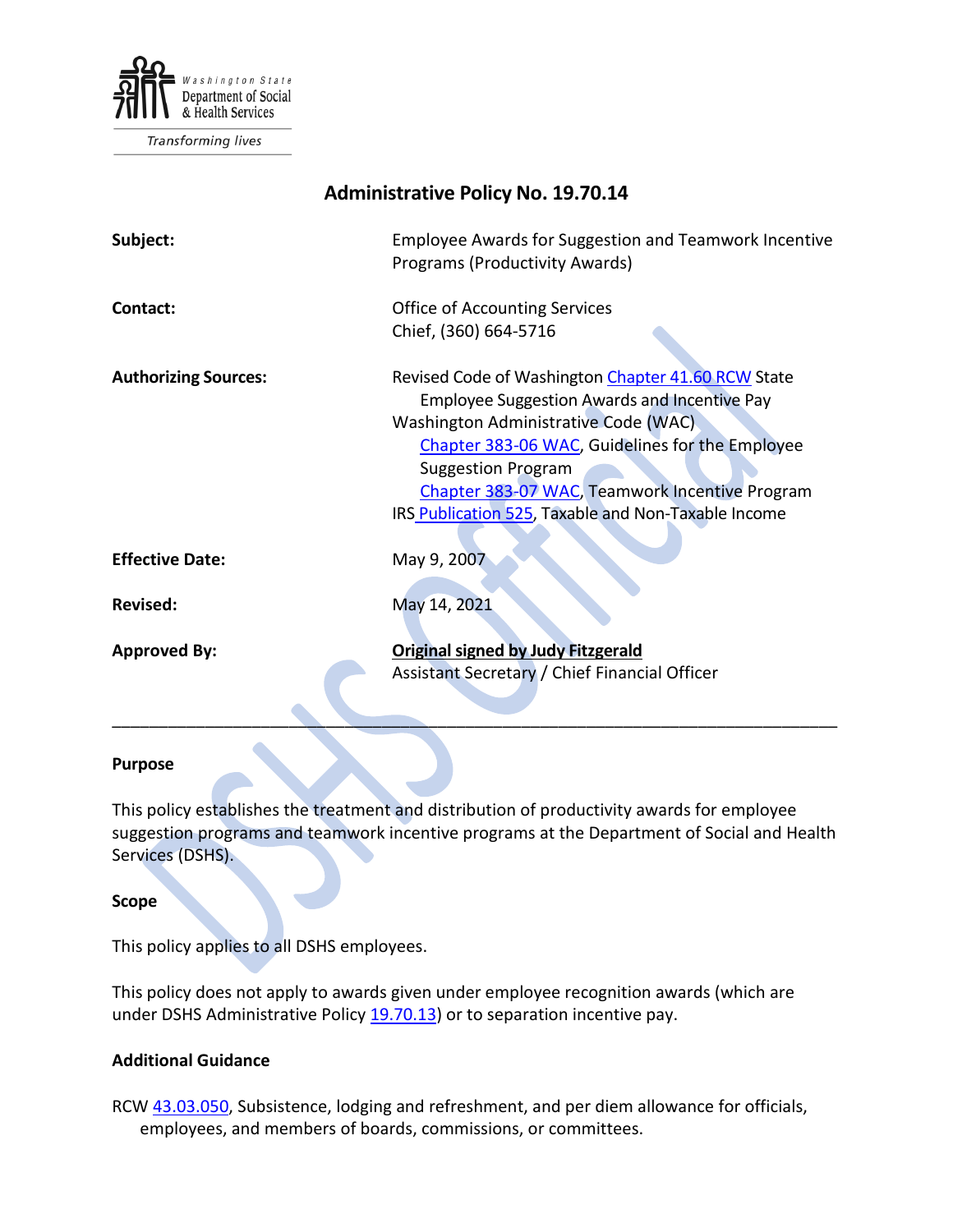

Transforming lives

# **Administrative Policy No. 19.70.14**

| Subject:                    | <b>Employee Awards for Suggestion and Teamwork Incentive</b><br><b>Programs (Productivity Awards)</b>                                                                                                                                                                                                                                      |
|-----------------------------|--------------------------------------------------------------------------------------------------------------------------------------------------------------------------------------------------------------------------------------------------------------------------------------------------------------------------------------------|
| Contact:                    | <b>Office of Accounting Services</b><br>Chief, (360) 664-5716                                                                                                                                                                                                                                                                              |
| <b>Authorizing Sources:</b> | Revised Code of Washington Chapter 41.60 RCW State<br><b>Employee Suggestion Awards and Incentive Pay</b><br>Washington Administrative Code (WAC)<br>Chapter 383-06 WAC, Guidelines for the Employee<br><b>Suggestion Program</b><br>Chapter 383-07 WAC, Teamwork Incentive Program<br>IRS Publication 525, Taxable and Non-Taxable Income |
| <b>Effective Date:</b>      | May 9, 2007                                                                                                                                                                                                                                                                                                                                |
| <b>Revised:</b>             | May 14, 2021                                                                                                                                                                                                                                                                                                                               |
| <b>Approved By:</b>         | <b>Original signed by Judy Fitzgerald</b><br>Assistant Secretary / Chief Financial Officer                                                                                                                                                                                                                                                 |

#### **Purpose**

This policy establishes the treatment and distribution of productivity awards for employee suggestion programs and teamwork incentive programs at the Department of Social and Health Services (DSHS).

\_\_\_\_\_\_\_\_\_\_\_\_\_\_\_\_\_\_\_\_\_\_\_\_\_\_\_\_\_\_\_\_\_\_\_\_\_\_\_\_\_\_\_\_\_\_\_\_\_\_\_\_\_\_\_\_\_\_\_\_\_\_\_\_\_\_\_\_\_\_\_\_\_\_\_\_\_\_

#### **Scope**

This policy applies to all DSHS employees.

This policy does not apply to awards given under employee recognition awards (which are under DSHS Administrative Policy [19.70.13\)](http://one.dshs.wa.lcl/Policies/Administrative/DSHS-AP-19-70-13.pdf) or to separation incentive pay.

#### **Additional Guidance**

RCW [43.03.050,](http://apps.leg.wa.gov/RCW/default.aspx?cite=43.03.050) Subsistence, lodging and refreshment, and per diem allowance for officials, employees, and members of boards, commissions, or committees.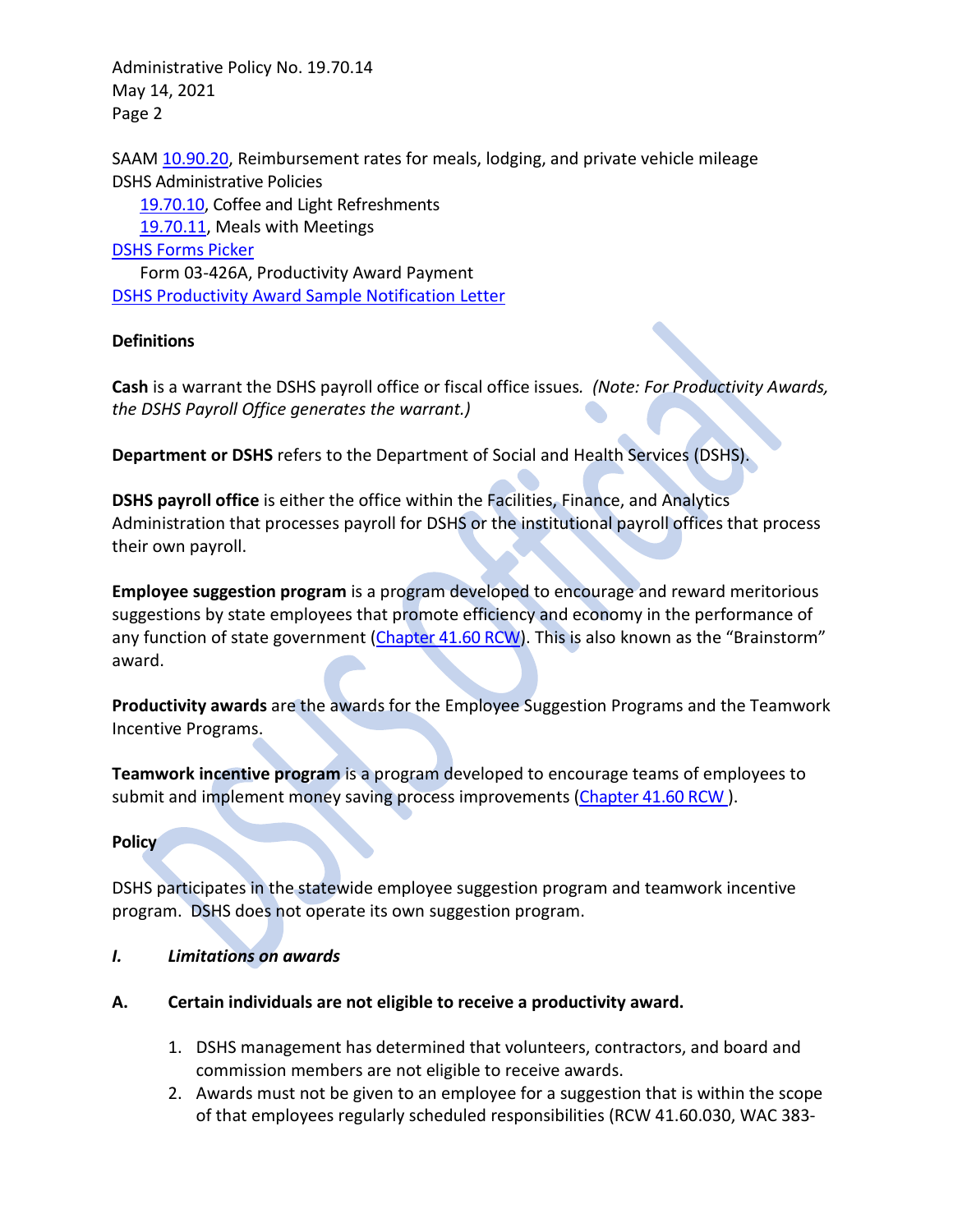SAAM [10.90.20,](http://www.ofm.wa.gov/policy/10.90.htm) Reimbursement rates for meals, lodging, and private vehicle mileage DSHS Administrative Policies

[19.70.10,](http://one.dshs.wa.lcl/Policies/Administrative/DSHS-AP-19-70-10.pdf) Coffee and Light Refreshments

[19.70.11,](http://one.dshs.wa.lcl/Policies/Administrative/DSHS-AP-19-70-11.pdf) Meals with Meetings

[DSHS Forms Picker](http://forms.dshs.wa.lcl/)

Form 03-426A, Productivity Award Payment [DSHS Productivity Award Sample Notification Letter](http://one.dshs.wa.lcl/Policies/Administrative/DSHS-AP-19-70-14-SampleLetter.pdf)

# **Definitions**

**Cash** is a warrant the DSHS payroll office or fiscal office issues*. (Note: For Productivity Awards, the DSHS Payroll Office generates the warrant.)*

**Department or DSHS** refers to the Department of Social and Health Services (DSHS).

**DSHS payroll office** is either the office within the Facilities, Finance, and Analytics Administration that processes payroll for DSHS or the institutional payroll offices that process their own payroll.

**Employee suggestion program** is a program developed to encourage and reward meritorious suggestions by state employees that promote efficiency and economy in the performance of any function of state government [\(Chapter 41.60 RCW\)](http://apps.leg.wa.gov/RCW/default.aspx?cite=41.60). This is also known as the "Brainstorm" award.

**Productivity awards** are the awards for the Employee Suggestion Programs and the Teamwork Incentive Programs.

**Teamwork incentive program** is a program developed to encourage teams of employees to submit and implement money saving process improvements [\(Chapter 41.60 RCW](http://apps.leg.wa.gov/RCW/default.aspx?cite=41.60)).

### **Policy**

DSHS participates in the statewide employee suggestion program and teamwork incentive program. DSHS does not operate its own suggestion program.

### *I. Limitations on awards*

- **A. Certain individuals are not eligible to receive a productivity award.**
	- 1. DSHS management has determined that volunteers, contractors, and board and commission members are not eligible to receive awards.
	- 2. Awards must not be given to an employee for a suggestion that is within the scope of that employees regularly scheduled responsibilities (RCW 41.60.030, WAC 383-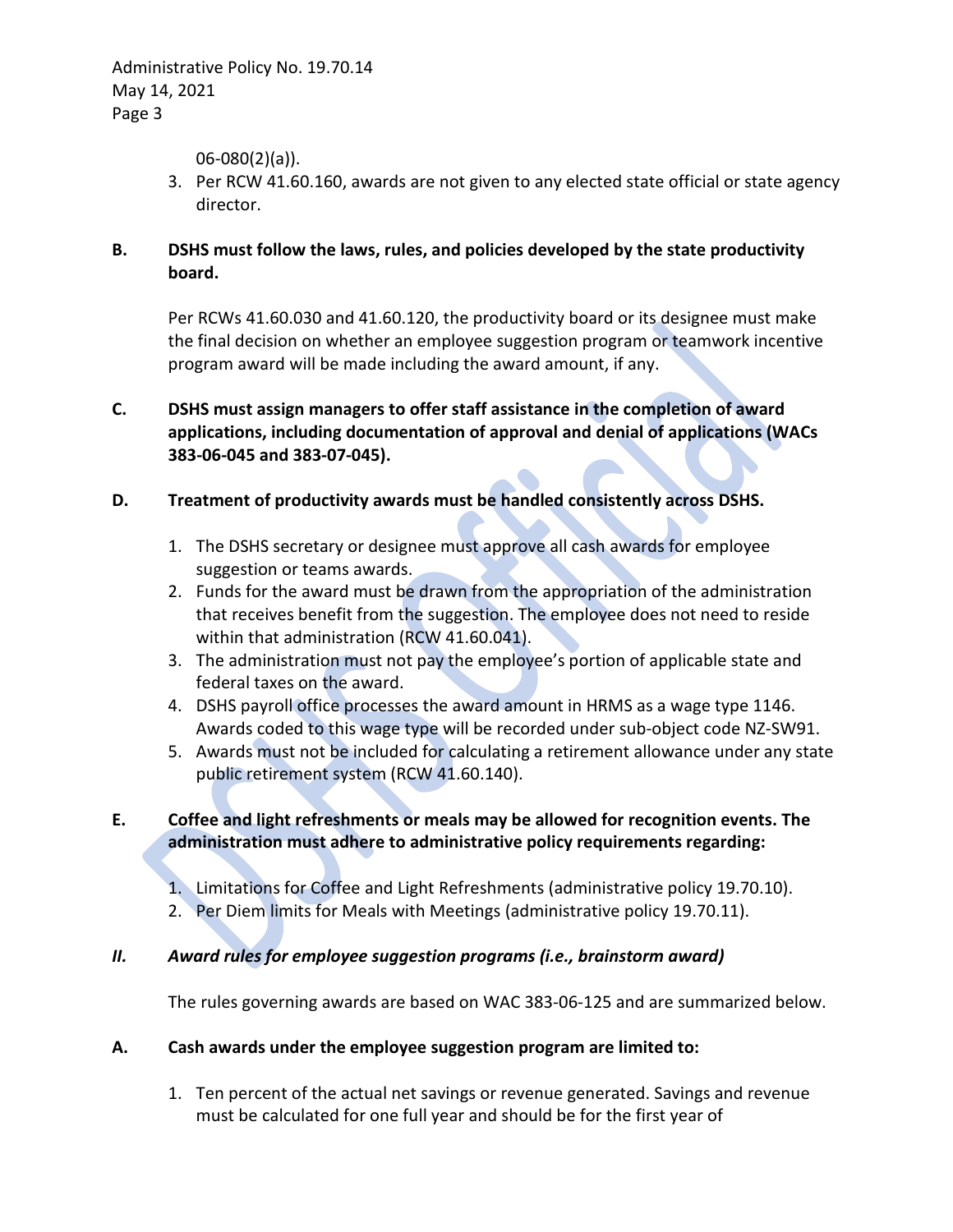06-080(2)(a)).

- 3. Per RCW 41.60.160, awards are not given to any elected state official or state agency director.
- **B. DSHS must follow the laws, rules, and policies developed by the state productivity board.**

Per RCWs 41.60.030 and 41.60.120, the productivity board or its designee must make the final decision on whether an employee suggestion program or teamwork incentive program award will be made including the award amount, if any.

- **C. DSHS must assign managers to offer staff assistance in the completion of award applications, including documentation of approval and denial of applications (WACs 383-06-045 and 383-07-045).**
- **D. Treatment of productivity awards must be handled consistently across DSHS.**
	- 1. The DSHS secretary or designee must approve all cash awards for employee suggestion or teams awards.
	- 2. Funds for the award must be drawn from the appropriation of the administration that receives benefit from the suggestion. The employee does not need to reside within that administration (RCW 41.60.041).
	- 3. The administration must not pay the employee's portion of applicable state and federal taxes on the award.
	- 4. DSHS payroll office processes the award amount in HRMS as a wage type 1146. Awards coded to this wage type will be recorded under sub-object code NZ-SW91.
	- 5. Awards must not be included for calculating a retirement allowance under any state public retirement system (RCW 41.60.140).

# **E. Coffee and light refreshments or meals may be allowed for recognition events. The administration must adhere to administrative policy requirements regarding:**

- 1. Limitations for Coffee and Light Refreshments (administrative policy 19.70.10).
- 2. Per Diem limits for Meals with Meetings (administrative policy 19.70.11).

### *II. Award rules for employee suggestion programs (i.e., brainstorm award)*

The rules governing awards are based on WAC 383-06-125 and are summarized below.

### **A. Cash awards under the employee suggestion program are limited to:**

1. Ten percent of the actual net savings or revenue generated. Savings and revenue must be calculated for one full year and should be for the first year of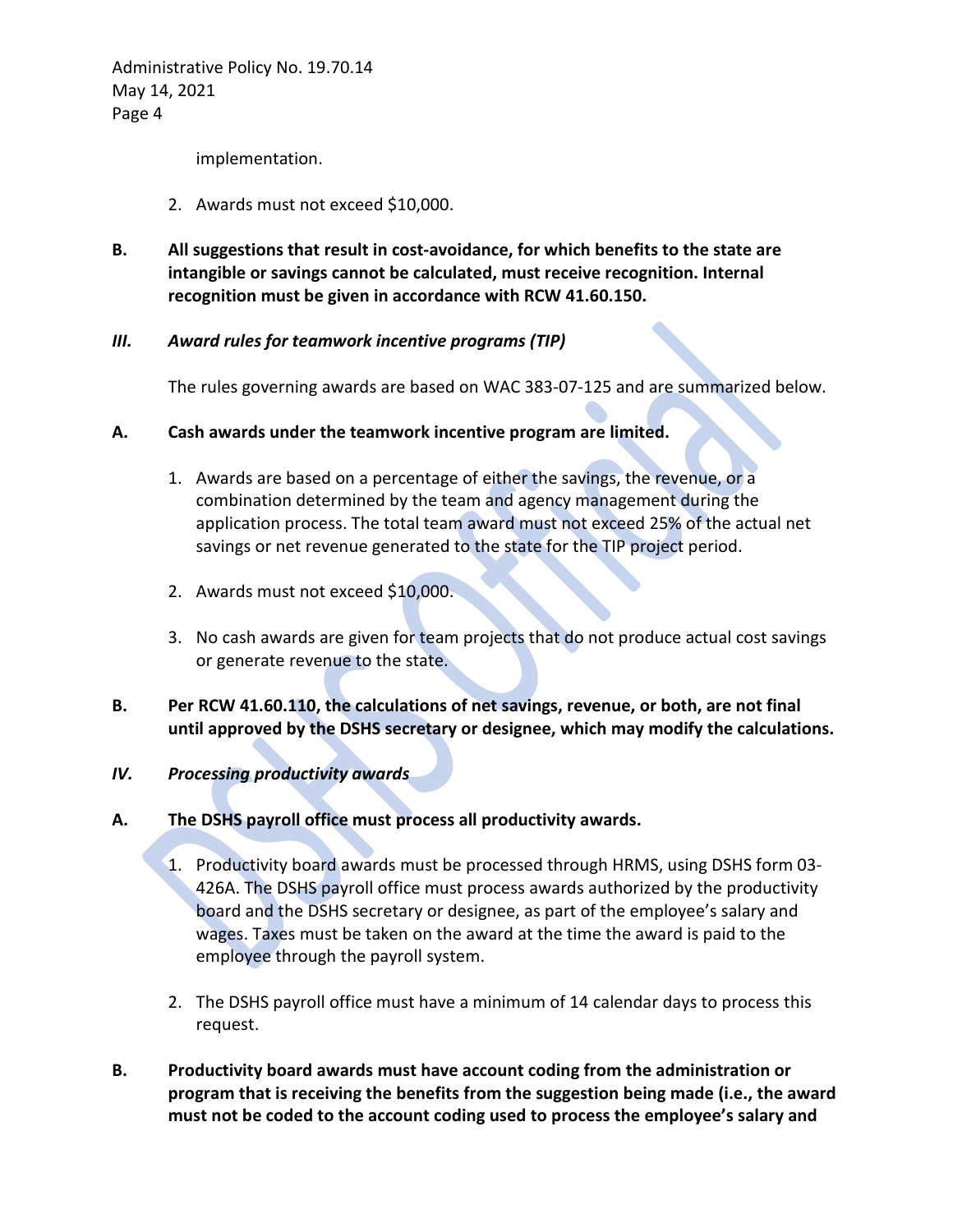implementation.

- 2. Awards must not exceed \$10,000.
- **B. All suggestions that result in cost-avoidance, for which benefits to the state are intangible or savings cannot be calculated, must receive recognition. Internal recognition must be given in accordance with RCW 41.60.150.**

### *III. Award rules for teamwork incentive programs (TIP)*

The rules governing awards are based on WAC 383-07-125 and are summarized below.

- **A. Cash awards under the teamwork incentive program are limited.**
	- 1. Awards are based on a percentage of either the savings, the revenue, or a combination determined by the team and agency management during the application process. The total team award must not exceed 25% of the actual net savings or net revenue generated to the state for the TIP project period.
	- 2. Awards must not exceed \$10,000.
	- 3. No cash awards are given for team projects that do not produce actual cost savings or generate revenue to the state.
- **B. Per RCW 41.60.110, the calculations of net savings, revenue, or both, are not final until approved by the DSHS secretary or designee, which may modify the calculations.**

### *IV. Processing productivity awards*

- **A. The DSHS payroll office must process all productivity awards.**
	- 1. Productivity board awards must be processed through HRMS, using DSHS form 03- 426A. The DSHS payroll office must process awards authorized by the productivity board and the DSHS secretary or designee, as part of the employee's salary and wages. Taxes must be taken on the award at the time the award is paid to the employee through the payroll system.
	- 2. The DSHS payroll office must have a minimum of 14 calendar days to process this request.
- **B. Productivity board awards must have account coding from the administration or program that is receiving the benefits from the suggestion being made (i.e., the award must not be coded to the account coding used to process the employee's salary and**